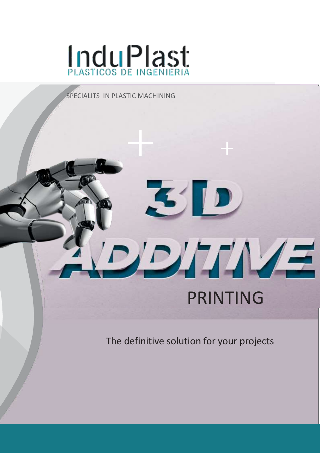

#### SPECIALITS IN PLASTIC MACHINING

## PRINTING

DIDITINAE

The definitive solution for your projects

311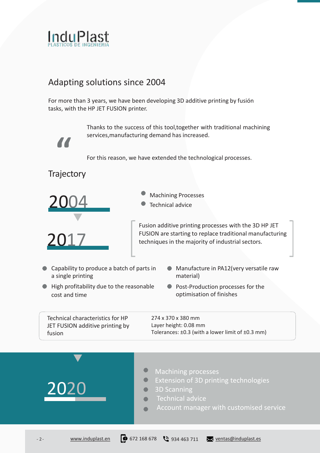

#### Adapting solutions since 2004

For more than 3 years, we have been developing 3D additive printing by fusión tasks, with the HP JET FUSION printer.

> Thanks to the success of this tool,together with traditional machining services,manufacturing demand has increased.

For this reason, we have extended the technological processes.

#### **Trajectory**

**"**



2017

- - Technical advice

Fusion additive printing processes with the 3D HP JET FUSION are starting to replace traditional manufacturing techniques in the majority of industrial sectors.

- Capability to produce a batch of parts in a single printing
- Manufacture in PA12(very versatile raw material)
- High profitability due to the reasonable cost and time
- **Post-Production processes for the** optimisation of finishes

Technical characteristics for HP JET FUSION additive printing by fusion

274 x 370 x 380 mm Layer height: 0.08 mm Tolerances: ±0.3 (with a lower limit of ±0.3 mm)

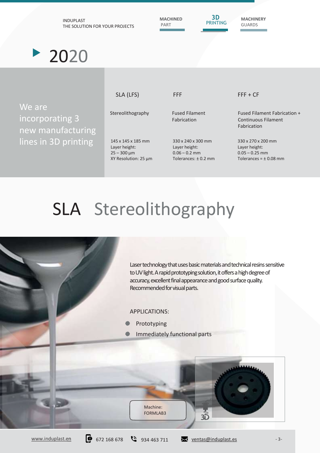

# SLA Stereolithography



[www.induplast.en](https://www.induplast.es/en)  $\bullet$  672 168 678  $\bullet$  934 463 711  $\bullet$  [ventas@induplast.es](mailto:ventas@induplast.es) - 3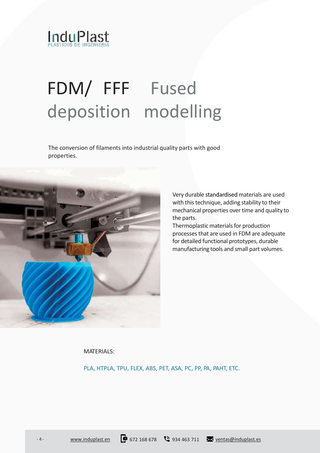

# FDM/ FFF Fused deposition modelling

The conversion of filaments into industrial quality parts with good properties.



Very durable standardisedmaterials are used with this technique, adding stability to their mechanical properties over time and quality to the parts.

Thermoplastic materials for production processes that are used in FDM are adequate for detailed functional prototypes, durable manufacturing tools and small part volumes.

MATERIALS:

PLA, HTPLA, TPU, FLEX, ABS, PET, ASA, PC, PP, PA, PAHT, ETC.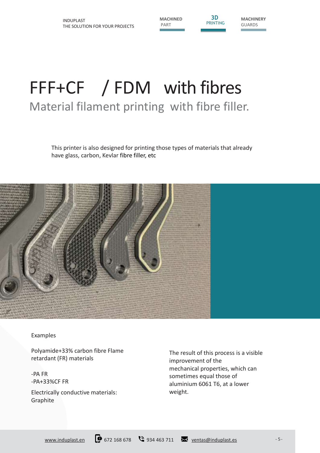**MACHINED** PART

**3D** PRINTING **MACHINERY** GUARDS

### FFF+CF / FDM with fibres Material filament printing with fibre filler.

This printer is also designed for printing those types of materials that already have glass, carbon, Kevlar fibre filler, etc



Examples

Polyamide+33% carbon fibre Flame retardant (FR) materials

-PA FR -PA+33%CF FR

Electrically conductive materials: Graphite

The result of this process is a visible improvement of the mechanical properties, which can sometimes equal those of aluminium 6061 T6, at a lower weight.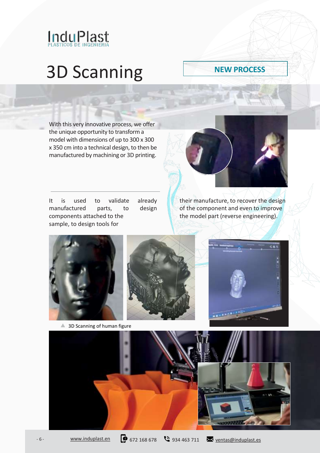![](_page_5_Picture_0.jpeg)

## 3D Scanning

#### **NEW PROCESS**

With this very innovative process, we offer the unique opportunity to transform a model with dimensions of up to 300 x 300 x 350 cm into a technical design, to then be manufactured by machining or 3D printing.

It is used to validate already manufactured parts, to design components attached to the sample, to design tools for

![](_page_5_Picture_5.jpeg)

their manufacture, to recover the design of the component and even to improve the model part (reverse engineering).

![](_page_5_Picture_7.jpeg)

<sup>4</sup> 3D Scanning of human figure

![](_page_5_Picture_9.jpeg)

![](_page_5_Picture_10.jpeg)

![](_page_5_Picture_11.jpeg)

- 6 - [www.induplast.en](https://www.induplast.es/en) 0 672 168 678 8 934 463 711 [ventas@induplast.es](mailto:ventas@induplast.es)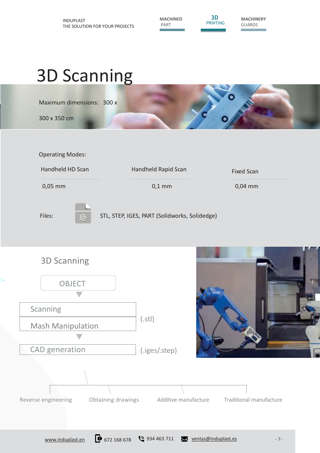**MACHINED** PART

**3D** PRINTING **MACHINERY** GUARDS

## 3D Scanning

Maximum dimensions: 300 x

300 x 350 cm

![](_page_6_Picture_7.jpeg)

Operating Modes:

![](_page_6_Figure_9.jpeg)

3D Scanning **OBJECT** Scanning(.stl) Mash Manipulation Ō. CAD generation (.iges/.step)

![](_page_6_Picture_11.jpeg)

![](_page_6_Figure_12.jpeg)